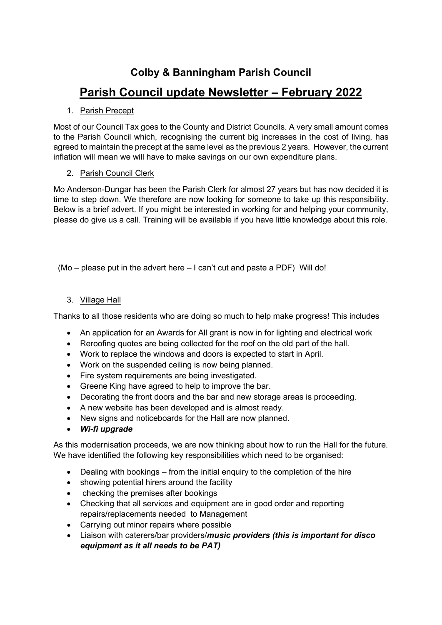## **Colby & Banningham Parish Council**

# **Parish Council update Newsletter – February 2022**

#### 1. Parish Precept

Most of our Council Tax goes to the County and District Councils. A very small amount comes to the Parish Council which, recognising the current big increases in the cost of living, has agreed to maintain the precept at the same level as the previous 2 years. However, the current inflation will mean we will have to make savings on our own expenditure plans.

#### 2. Parish Council Clerk

Mo Anderson-Dungar has been the Parish Clerk for almost 27 years but has now decided it is time to step down. We therefore are now looking for someone to take up this responsibility. Below is a brief advert. If you might be interested in working for and helping your community, please do give us a call. Training will be available if you have little knowledge about this role.

(Mo – please put in the advert here – I can't cut and paste a PDF) Will do!

### 3. Village Hall

Thanks to all those residents who are doing so much to help make progress! This includes

- An application for an Awards for All grant is now in for lighting and electrical work
- Reroofing quotes are being collected for the roof on the old part of the hall.
- Work to replace the windows and doors is expected to start in April.
- Work on the suspended ceiling is now being planned.
- Fire system requirements are being investigated.
- Greene King have agreed to help to improve the bar.
- Decorating the front doors and the bar and new storage areas is proceeding.
- A new website has been developed and is almost ready.
- New signs and noticeboards for the Hall are now planned.
- *Wi-fi upgrade*

As this modernisation proceeds, we are now thinking about how to run the Hall for the future. We have identified the following key responsibilities which need to be organised:

- Dealing with bookings from the initial enquiry to the completion of the hire
- showing potential hirers around the facility
- checking the premises after bookings
- Checking that all services and equipment are in good order and reporting repairs/replacements needed to Management
- Carrying out minor repairs where possible
- Liaison with caterers/bar providers/*music providers (this is important for disco equipment as it all needs to be PAT)*